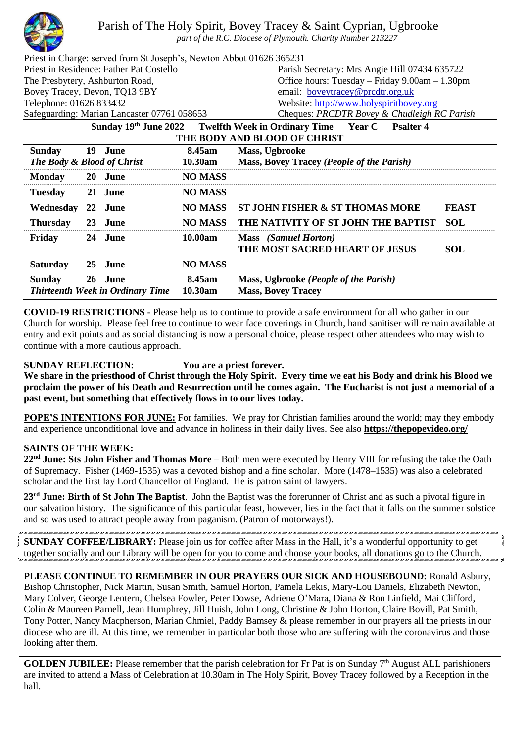

Parish of The Holy Spirit, Bovey Tracey & Saint Cyprian, Ugbrooke

*part of the R.C. Diocese of Plymouth. Charity Number 213227*

| Priest in Charge: served from St Joseph's, Newton Abbot 01626 365231 |    |                                                    |                   |                                                                      |                                                |  |
|----------------------------------------------------------------------|----|----------------------------------------------------|-------------------|----------------------------------------------------------------------|------------------------------------------------|--|
| Priest in Residence: Father Pat Costello                             |    |                                                    |                   |                                                                      | Parish Secretary: Mrs Angie Hill 07434 635722  |  |
| The Presbytery, Ashburton Road,                                      |    |                                                    |                   |                                                                      | Office hours: Tuesday – Friday 9.00am – 1.30pm |  |
| Bovey Tracey, Devon, TQ13 9BY                                        |    |                                                    |                   | email: boveytracey@prcdtr.org.uk                                     |                                                |  |
| Telephone: 01626 833432                                              |    |                                                    |                   | Website: http://www.holyspiritbovey.org                              |                                                |  |
| Safeguarding: Marian Lancaster 07761 058653                          |    |                                                    |                   | Cheques: PRCDTR Bovey & Chudleigh RC Parish                          |                                                |  |
| Sunday 19th June 2022 Twelfth Week in Ordinary Time Year C Psalter 4 |    |                                                    |                   |                                                                      |                                                |  |
| THE BODY AND BLOOD OF CHRIST                                         |    |                                                    |                   |                                                                      |                                                |  |
| <b>Sunday</b>                                                        |    | 19 June                                            | <b>8.45am</b>     | Mass, Ugbrooke                                                       |                                                |  |
| The Body & Blood of Christ                                           |    |                                                    | 10.30am           | Mass, Bovey Tracey (People of the Parish)                            |                                                |  |
| <b>Monday</b>                                                        |    | 20 June                                            | <b>NO MASS</b>    |                                                                      |                                                |  |
| Tuesday                                                              |    | 21 June                                            | <b>NO MASS</b>    |                                                                      |                                                |  |
| Wednesday 22 June                                                    |    |                                                    | <b>NO MASS</b>    | ST JOHN FISHER & ST THOMAS MORE                                      | <b>FEAST</b>                                   |  |
| <b>Thursday</b>                                                      | 23 | June                                               | <b>NO MASS</b>    | THE NATIVITY OF ST JOHN THE BAPTIST                                  | <b>SOL</b>                                     |  |
| Friday                                                               |    | 24 June                                            | 10.00am           | <b>Mass</b> <i>(Samuel Horton)</i><br>THE MOST SACRED HEART OF JESUS | <b>SOL</b>                                     |  |
| <b>Saturday</b>                                                      |    | 25 June                                            | <b>NO MASS</b>    |                                                                      |                                                |  |
| <b>Sunday</b>                                                        |    | 26 June<br><b>Thirteenth Week in Ordinary Time</b> | 8.45am<br>10.30am | Mass, Ugbrooke (People of the Parish)<br><b>Mass, Bovey Tracey</b>   |                                                |  |

**COVID-19 RESTRICTIONS -** Please help us to continue to provide a safe environment for all who gather in our Church for worship. Please feel free to continue to wear face coverings in Church, hand sanitiser will remain available at entry and exit points and as social distancing is now a personal choice, please respect other attendees who may wish to continue with a more cautious approach.

## **SUNDAY REFLECTION: You are a priest forever.**

**We share in the priesthood of Christ through the Holy Spirit. Every time we eat his Body and drink his Blood we proclaim the power of his Death and Resurrection until he comes again. The Eucharist is not just a memorial of a past event, but something that effectively flows in to our lives today.**

**POPE'S INTENTIONS FOR JUNE:** For families. We pray for Christian families around the world; may they embody and experience unconditional love and advance in holiness in their daily lives. See also **<https://thepopevideo.org/>**

## **SAINTS OF THE WEEK:**

**22nd June: Sts John Fisher and Thomas More** – Both men were executed by Henry VIII for refusing the take the Oath of Supremacy. Fisher (1469-1535) was a devoted bishop and a fine scholar. More (1478–1535) was also a celebrated scholar and the first lay Lord Chancellor of England. He is patron saint of lawyers.

**23rd June: Birth of St John The Baptist**. John the Baptist was the forerunner of Christ and as such a pivotal figure in our salvation history. The significance of this particular feast, however, lies in the fact that it falls on the summer solstice and so was used to attract people away from paganism. (Patron of motorways!).

**SUNDAY COFFEE/LIBRARY:** Please join us for coffee after Mass in the Hall, it's a wonderful opportunity to get together socially and our Library will be open for you to come and choose your books, all donations go to the Church.

**PLEASE CONTINUE TO REMEMBER IN OUR PRAYERS OUR SICK AND HOUSEBOUND:** Ronald Asbury, Bishop Christopher, Nick Martin, Susan Smith, Samuel Horton, Pamela Lekis, Mary-Lou Daniels, Elizabeth Newton, Mary Colver, George Lentern, Chelsea Fowler, Peter Dowse, Adriene O'Mara, Diana & Ron Linfield, Mai Clifford, Colin & Maureen Parnell, Jean Humphrey, Jill Huish, John Long, Christine & John Horton, Claire Bovill, Pat Smith, Tony Potter, Nancy Macpherson, Marian Chmiel, Paddy Bamsey & please remember in our prayers all the priests in our diocese who are ill. At this time, we remember in particular both those who are suffering with the coronavirus and those looking after them.

**GOLDEN JUBILEE:** Please remember that the parish celebration for Fr Pat is on Sunday 7<sup>th</sup> August ALL parishioners are invited to attend a Mass of Celebration at 10.30am in The Holy Spirit, Bovey Tracey followed by a Reception in the hall.